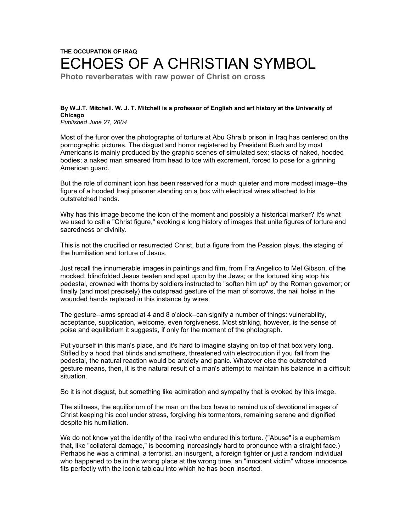## **THE OCCUPATION OF IRAQ** ECHOES OF A CHRISTIAN SYMBOL

**Photo reverberates with raw power of Christ on cross**

## **By W.J.T. Mitchell. W. J. T. Mitchell is a professor of English and art history at the University of Chicago**

*Published June 27, 2004*

Most of the furor over the photographs of torture at Abu Ghraib prison in Iraq has centered on the pornographic pictures. The disgust and horror registered by President Bush and by most Americans is mainly produced by the graphic scenes of simulated sex; stacks of naked, hooded bodies; a naked man smeared from head to toe with excrement, forced to pose for a grinning American guard.

But the role of dominant icon has been reserved for a much quieter and more modest image--the figure of a hooded Iraqi prisoner standing on a box with electrical wires attached to his outstretched hands.

Why has this image become the icon of the moment and possibly a historical marker? It's what we used to call a "Christ figure," evoking a long history of images that unite figures of torture and sacredness or divinity.

This is not the crucified or resurrected Christ, but a figure from the Passion plays, the staging of the humiliation and torture of Jesus.

Just recall the innumerable images in paintings and film, from Fra Angelico to Mel Gibson, of the mocked, blindfolded Jesus beaten and spat upon by the Jews; or the tortured king atop his pedestal, crowned with thorns by soldiers instructed to "soften him up" by the Roman governor; or finally (and most precisely) the outspread gesture of the man of sorrows, the nail holes in the wounded hands replaced in this instance by wires.

The gesture--arms spread at 4 and 8 o'clock--can signify a number of things: vulnerability, acceptance, supplication, welcome, even forgiveness. Most striking, however, is the sense of poise and equilibrium it suggests, if only for the moment of the photograph.

Put yourself in this man's place, and it's hard to imagine staying on top of that box very long. Stifled by a hood that blinds and smothers, threatened with electrocution if you fall from the pedestal, the natural reaction would be anxiety and panic. Whatever else the outstretched gesture means, then, it is the natural result of a man's attempt to maintain his balance in a difficult situation.

So it is not disgust, but something like admiration and sympathy that is evoked by this image.

The stillness, the equilibrium of the man on the box have to remind us of devotional images of Christ keeping his cool under stress, forgiving his tormentors, remaining serene and dignified despite his humiliation.

We do not know yet the identity of the Iraqi who endured this torture. ("Abuse" is a euphemism that, like "collateral damage," is becoming increasingly hard to pronounce with a straight face.) Perhaps he was a criminal, a terrorist, an insurgent, a foreign fighter or just a random individual who happened to be in the wrong place at the wrong time, an "innocent victim" whose innocence fits perfectly with the iconic tableau into which he has been inserted.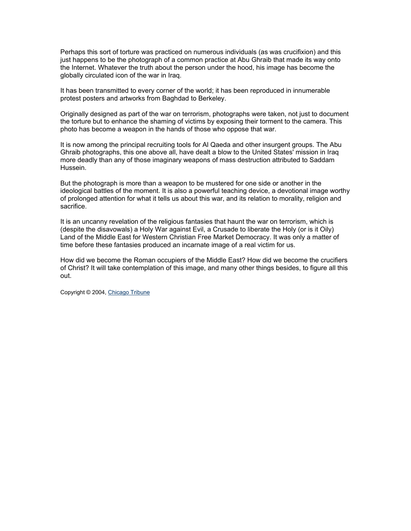Perhaps this sort of torture was practiced on numerous individuals (as was crucifixion) and this just happens to be the photograph of a common practice at Abu Ghraib that made its way onto the Internet. Whatever the truth about the person under the hood, his image has become the globally circulated icon of the war in Iraq.

It has been transmitted to every corner of the world; it has been reproduced in innumerable protest posters and artworks from Baghdad to Berkeley.

Originally designed as part of the war on terrorism, photographs were taken, not just to document the torture but to enhance the shaming of victims by exposing their torment to the camera. This photo has become a weapon in the hands of those who oppose that war.

It is now among the principal recruiting tools for Al Qaeda and other insurgent groups. The Abu Ghraib photographs, this one above all, have dealt a blow to the United States' mission in Iraq more deadly than any of those imaginary weapons of mass destruction attributed to Saddam Hussein.

But the photograph is more than a weapon to be mustered for one side or another in the ideological battles of the moment. It is also a powerful teaching device, a devotional image worthy of prolonged attention for what it tells us about this war, and its relation to morality, religion and sacrifice.

It is an uncanny revelation of the religious fantasies that haunt the war on terrorism, which is (despite the disavowals) a Holy War against Evil, a Crusade to liberate the Holy (or is it Oily) Land of the Middle East for Western Christian Free Market Democracy. It was only a matter of time before these fantasies produced an incarnate image of a real victim for us.

How did we become the Roman occupiers of the Middle East? How did we become the crucifiers of Christ? It will take contemplation of this image, and many other things besides, to figure all this out.

Copyright © 2004, Chicago Tribune